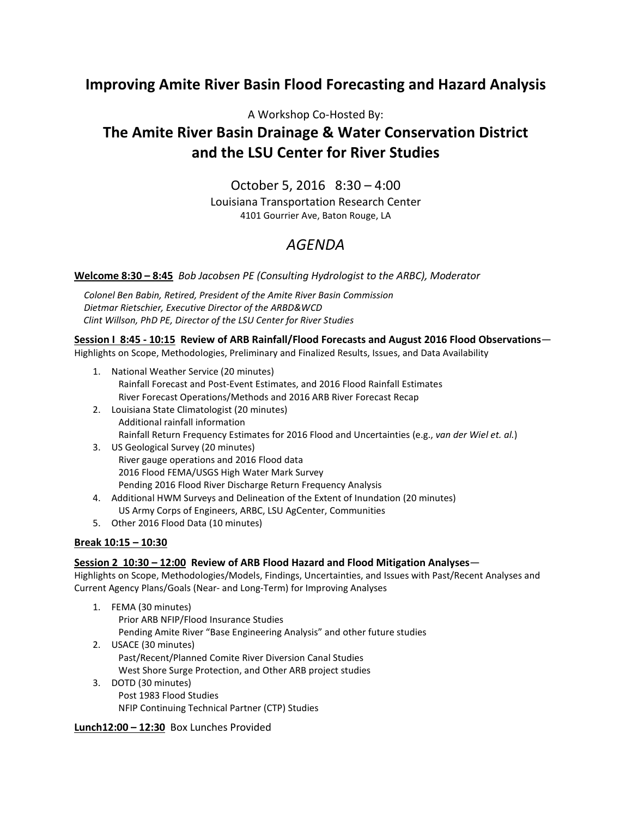## **Improving Amite River Basin Flood Forecasting and Hazard Analysis**

### A Workshop Co-Hosted By:

# **The Amite River Basin Drainage & Water Conservation District and the LSU Center for River Studies**

## October 5, 2016 8:30 – 4:00

Louisiana Transportation Research Center 4101 Gourrier Ave, Baton Rouge, LA

# *AGENDA*

**Welcome 8:30 – 8:45** *Bob Jacobsen PE (Consulting Hydrologist to the ARBC), Moderator* 

*Colonel Ben Babin, Retired, President of the Amite River Basin Commission Dietmar Rietschier, Executive Director of the ARBD&WCD Clint Willson, PhD PE, Director of the LSU Center for River Studies* 

**Session I 8:45 - 10:15 Review of ARB Rainfall/Flood Forecasts and August 2016 Flood Observations**—

Highlights on Scope, Methodologies, Preliminary and Finalized Results, Issues, and Data Availability

- 1. National Weather Service (20 minutes) Rainfall Forecast and Post-Event Estimates, and 2016 Flood Rainfall Estimates River Forecast Operations/Methods and 2016 ARB River Forecast Recap
- 2. Louisiana State Climatologist (20 minutes) Additional rainfall information Rainfall Return Frequency Estimates for 2016 Flood and Uncertainties (e.g., *van der Wiel et. al.*)
- 3. US Geological Survey (20 minutes) River gauge operations and 2016 Flood data 2016 Flood FEMA/USGS High Water Mark Survey Pending 2016 Flood River Discharge Return Frequency Analysis
- 4. Additional HWM Surveys and Delineation of the Extent of Inundation (20 minutes) US Army Corps of Engineers, ARBC, LSU AgCenter, Communities
- 5. Other 2016 Flood Data (10 minutes)

#### **Break 10:15 – 10:30**

#### **Session 2 10:30 – 12:00 Review of ARB Flood Hazard and Flood Mitigation Analyses**—

Highlights on Scope, Methodologies/Models, Findings, Uncertainties, and Issues with Past/Recent Analyses and Current Agency Plans/Goals (Near- and Long-Term) for Improving Analyses

- 1. FEMA (30 minutes) Prior ARB NFIP/Flood Insurance Studies Pending Amite River "Base Engineering Analysis" and other future studies
- 2. USACE (30 minutes) Past/Recent/Planned Comite River Diversion Canal Studies West Shore Surge Protection, and Other ARB project studies
- 3. DOTD (30 minutes) Post 1983 Flood Studies NFIP Continuing Technical Partner (CTP) Studies

**Lunch12:00 – 12:30** Box Lunches Provided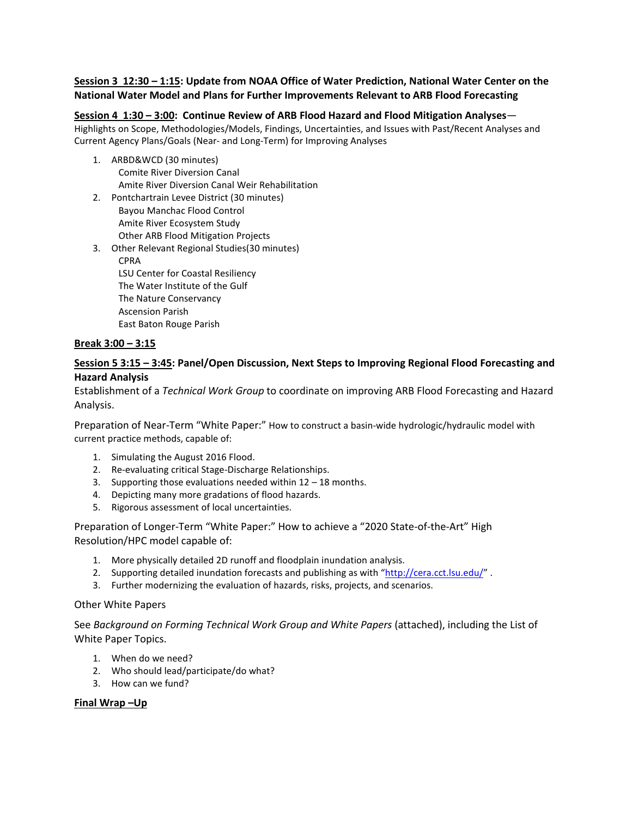#### **Session 3 12:30 – 1:15: Update from NOAA Office of Water Prediction, National Water Center on the National Water Model and Plans for Further Improvements Relevant to ARB Flood Forecasting**

#### **Session 4 1:30 – 3:00: Continue Review of ARB Flood Hazard and Flood Mitigation Analyses**—

Highlights on Scope, Methodologies/Models, Findings, Uncertainties, and Issues with Past/Recent Analyses and Current Agency Plans/Goals (Near- and Long-Term) for Improving Analyses

- 1. ARBD&WCD (30 minutes) Comite River Diversion Canal Amite River Diversion Canal Weir Rehabilitation
- 2. Pontchartrain Levee District (30 minutes) Bayou Manchac Flood Control Amite River Ecosystem Study Other ARB Flood Mitigation Projects
- 3. Other Relevant Regional Studies(30 minutes) CPRA LSU Center for Coastal Resiliency The Water Institute of the Gulf The Nature Conservancy Ascension Parish East Baton Rouge Parish

#### **Break 3:00 – 3:15**

#### **Session 5 3:15 – 3:45: Panel/Open Discussion, Next Steps to Improving Regional Flood Forecasting and Hazard Analysis**

Establishment of a *Technical Work Group* to coordinate on improving ARB Flood Forecasting and Hazard Analysis.

Preparation of Near-Term "White Paper:" How to construct a basin-wide hydrologic/hydraulic model with current practice methods, capable of:

- 1. Simulating the August 2016 Flood.
- 2. Re-evaluating critical Stage-Discharge Relationships.
- 3. Supporting those evaluations needed within  $12 18$  months.
- 4. Depicting many more gradations of flood hazards.
- 5. Rigorous assessment of local uncertainties.

Preparation of Longer-Term "White Paper:" How to achieve a "2020 State-of-the-Art" High Resolution/HPC model capable of:

- 1. More physically detailed 2D runoff and floodplain inundation analysis.
- 2. Supporting detailed inundation forecasts and publishing as with "http://cera.cct.lsu.edu/".
- 3. Further modernizing the evaluation of hazards, risks, projects, and scenarios.

#### Other White Papers

See *Background on Forming Technical Work Group and White Papers* (attached), including the List of White Paper Topics.

- 1. When do we need?
- 2. Who should lead/participate/do what?
- 3. How can we fund?

#### **Final Wrap –Up**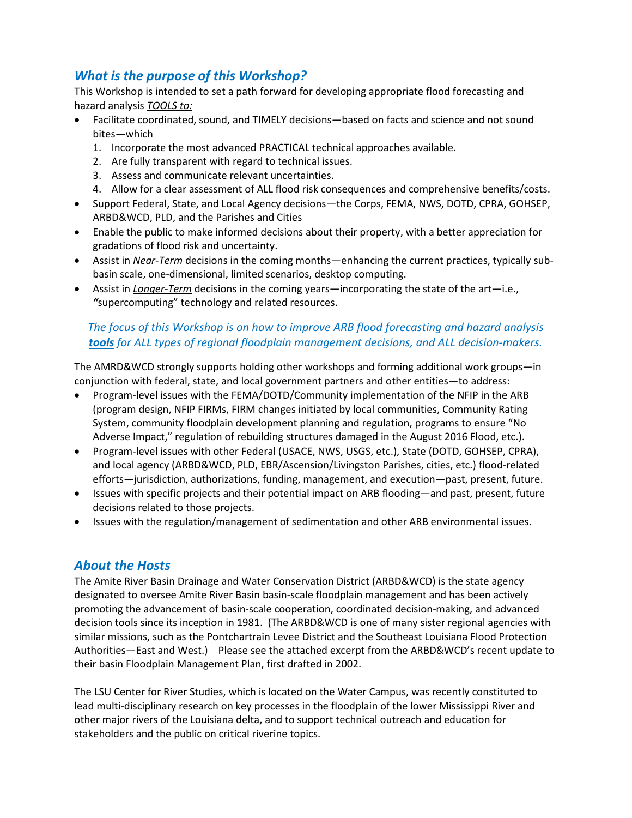## *What is the purpose of this Workshop?*

This Workshop is intended to set a path forward for developing appropriate flood forecasting and hazard analysis *TOOLS to:*

- Facilitate coordinated, sound, and TIMELY decisions—based on facts and science and not sound bites—which
	- 1. Incorporate the most advanced PRACTICAL technical approaches available.
	- 2. Are fully transparent with regard to technical issues.
	- 3. Assess and communicate relevant uncertainties.
	- 4. Allow for a clear assessment of ALL flood risk consequences and comprehensive benefits/costs.
- Support Federal, State, and Local Agency decisions—the Corps, FEMA, NWS, DOTD, CPRA, GOHSEP, ARBD&WCD, PLD, and the Parishes and Cities
- Enable the public to make informed decisions about their property, with a better appreciation for gradations of flood risk and uncertainty.
- Assist in *Near-Term* decisions in the coming months—enhancing the current practices, typically subbasin scale, one-dimensional, limited scenarios, desktop computing.
- Assist in *Longer-Term* decisions in the coming years—incorporating the state of the art—i.e., *"*supercomputing" technology and related resources.

## *The focus of this Workshop is on how to improve ARB flood forecasting and hazard analysis tools for ALL types of regional floodplain management decisions, and ALL decision-makers.*

The AMRD&WCD strongly supports holding other workshops and forming additional work groups—in conjunction with federal, state, and local government partners and other entities—to address:

- Program-level issues with the FEMA/DOTD/Community implementation of the NFIP in the ARB (program design, NFIP FIRMs, FIRM changes initiated by local communities, Community Rating System, community floodplain development planning and regulation, programs to ensure "No Adverse Impact," regulation of rebuilding structures damaged in the August 2016 Flood, etc.).
- Program-level issues with other Federal (USACE, NWS, USGS, etc.), State (DOTD, GOHSEP, CPRA), and local agency (ARBD&WCD, PLD, EBR/Ascension/Livingston Parishes, cities, etc.) flood-related efforts—jurisdiction, authorizations, funding, management, and execution—past, present, future.
- Issues with specific projects and their potential impact on ARB flooding—and past, present, future decisions related to those projects.
- Issues with the regulation/management of sedimentation and other ARB environmental issues.

## *About the Hosts*

The Amite River Basin Drainage and Water Conservation District (ARBD&WCD) is the state agency designated to oversee Amite River Basin basin-scale floodplain management and has been actively promoting the advancement of basin-scale cooperation, coordinated decision-making, and advanced decision tools since its inception in 1981. (The ARBD&WCD is one of many sister regional agencies with similar missions, such as the Pontchartrain Levee District and the Southeast Louisiana Flood Protection Authorities—East and West.) Please see the attached excerpt from the ARBD&WCD's recent update to their basin Floodplain Management Plan, first drafted in 2002.

The LSU Center for River Studies, which is located on the Water Campus, was recently constituted to lead multi-disciplinary research on key processes in the floodplain of the lower Mississippi River and other major rivers of the Louisiana delta, and to support technical outreach and education for stakeholders and the public on critical riverine topics.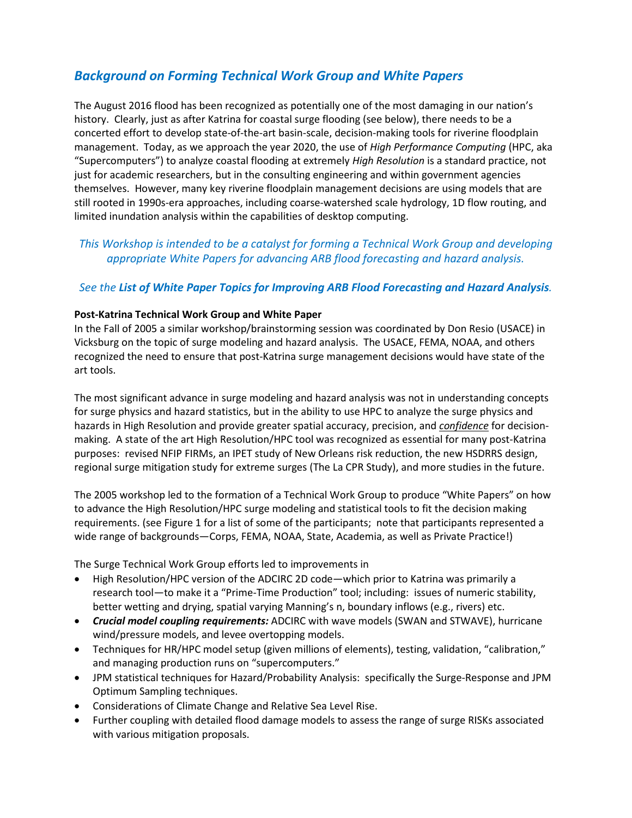## *Background on Forming Technical Work Group and White Papers*

The August 2016 flood has been recognized as potentially one of the most damaging in our nation's history. Clearly, just as after Katrina for coastal surge flooding (see below), there needs to be a concerted effort to develop state-of-the-art basin-scale, decision-making tools for riverine floodplain management. Today, as we approach the year 2020, the use of *High Performance Computing* (HPC, aka "Supercomputers") to analyze coastal flooding at extremely *High Resolution* is a standard practice, not just for academic researchers, but in the consulting engineering and within government agencies themselves. However, many key riverine floodplain management decisions are using models that are still rooted in 1990s-era approaches, including coarse-watershed scale hydrology, 1D flow routing, and limited inundation analysis within the capabilities of desktop computing.

*This Workshop is intended to be a catalyst for forming a Technical Work Group and developing appropriate White Papers for advancing ARB flood forecasting and hazard analysis.* 

### *See the List of White Paper Topics for Improving ARB Flood Forecasting and Hazard Analysis.*

#### **Post-Katrina Technical Work Group and White Paper**

In the Fall of 2005 a similar workshop/brainstorming session was coordinated by Don Resio (USACE) in Vicksburg on the topic of surge modeling and hazard analysis. The USACE, FEMA, NOAA, and others recognized the need to ensure that post-Katrina surge management decisions would have state of the art tools.

The most significant advance in surge modeling and hazard analysis was not in understanding concepts for surge physics and hazard statistics, but in the ability to use HPC to analyze the surge physics and hazards in High Resolution and provide greater spatial accuracy, precision, and *confidence* for decisionmaking. A state of the art High Resolution/HPC tool was recognized as essential for many post-Katrina purposes: revised NFIP FIRMs, an IPET study of New Orleans risk reduction, the new HSDRRS design, regional surge mitigation study for extreme surges (The La CPR Study), and more studies in the future.

The 2005 workshop led to the formation of a Technical Work Group to produce "White Papers" on how to advance the High Resolution/HPC surge modeling and statistical tools to fit the decision making requirements. (see Figure 1 for a list of some of the participants; note that participants represented a wide range of backgrounds—Corps, FEMA, NOAA, State, Academia, as well as Private Practice!)

The Surge Technical Work Group efforts led to improvements in

- High Resolution/HPC version of the ADCIRC 2D code—which prior to Katrina was primarily a research tool—to make it a "Prime-Time Production" tool; including: issues of numeric stability, better wetting and drying, spatial varying Manning's n, boundary inflows (e.g., rivers) etc.
- *Crucial model coupling requirements:* ADCIRC with wave models (SWAN and STWAVE), hurricane wind/pressure models, and levee overtopping models.
- Techniques for HR/HPC model setup (given millions of elements), testing, validation, "calibration," and managing production runs on "supercomputers."
- JPM statistical techniques for Hazard/Probability Analysis: specifically the Surge-Response and JPM Optimum Sampling techniques.
- Considerations of Climate Change and Relative Sea Level Rise.
- Further coupling with detailed flood damage models to assess the range of surge RISKs associated with various mitigation proposals.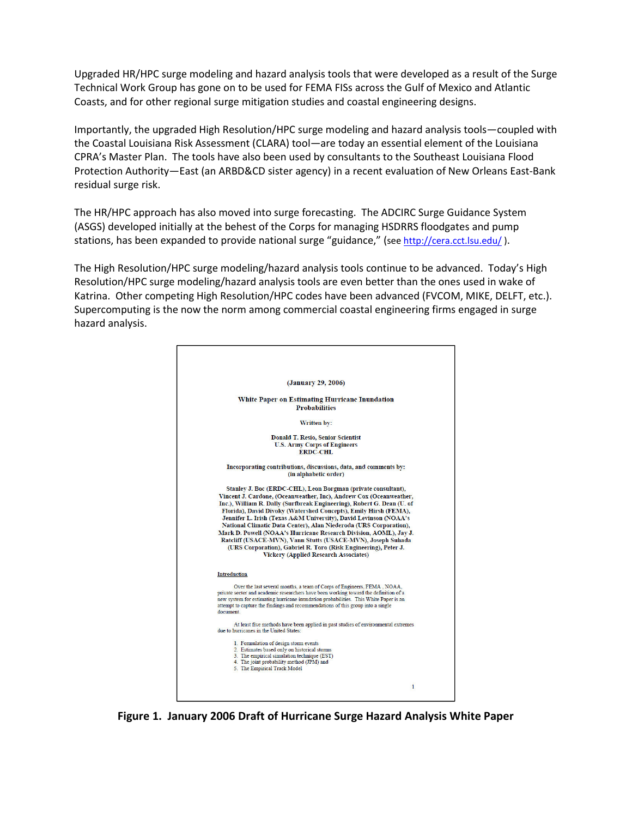Upgraded HR/HPC surge modeling and hazard analysis tools that were developed as a result of the Surge Technical Work Group has gone on to be used for FEMA FISs across the Gulf of Mexico and Atlantic Coasts, and for other regional surge mitigation studies and coastal engineering designs.

Importantly, the upgraded High Resolution/HPC surge modeling and hazard analysis tools—coupled with the Coastal Louisiana Risk Assessment (CLARA) tool—are today an essential element of the Louisiana CPRA's Master Plan. The tools have also been used by consultants to the Southeast Louisiana Flood Protection Authority—East (an ARBD&CD sister agency) in a recent evaluation of New Orleans East-Bank residual surge risk.

The HR/HPC approach has also moved into surge forecasting. The ADCIRC Surge Guidance System (ASGS) developed initially at the behest of the Corps for managing HSDRRS floodgates and pump stations, has been expanded to provide national surge "guidance," (see http://cera.cct.lsu.edu/).

The High Resolution/HPC surge modeling/hazard analysis tools continue to be advanced. Today's High Resolution/HPC surge modeling/hazard analysis tools are even better than the ones used in wake of Katrina. Other competing High Resolution/HPC codes have been advanced (FVCOM, MIKE, DELFT, etc.). Supercomputing is the now the norm among commercial coastal engineering firms engaged in surge hazard analysis.



**Figure 1. January 2006 Draft of Hurricane Surge Hazard Analysis White Paper**